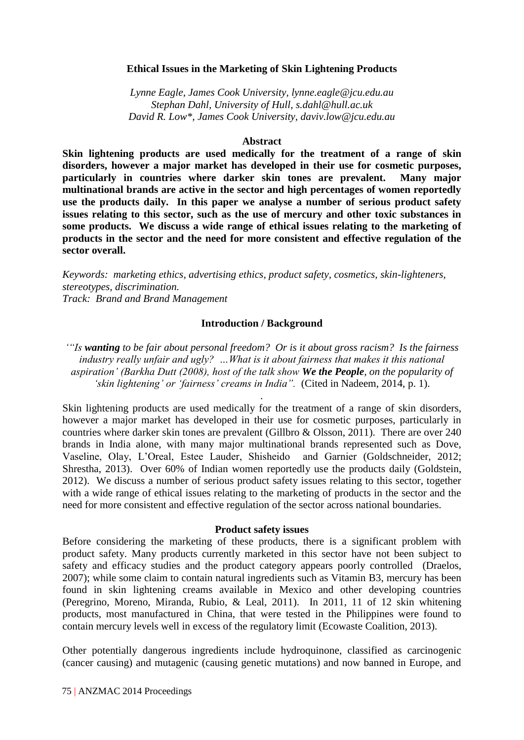## **Ethical Issues in the Marketing of Skin Lightening Products**

*Lynne Eagle, James Cook University, lynne.eagle@jcu.edu.au Stephan Dahl, University of Hull, s.dahl@hull.ac.uk David R. Low\*, James Cook University, daviv.low@jcu.edu.au*

# **Abstract**

**Skin lightening products are used medically for the treatment of a range of skin disorders, however a major market has developed in their use for cosmetic purposes, particularly in countries where darker skin tones are prevalent. Many major multinational brands are active in the sector and high percentages of women reportedly use the products daily. In this paper we analyse a number of serious product safety issues relating to this sector, such as the use of mercury and other toxic substances in some products. We discuss a wide range of ethical issues relating to the marketing of products in the sector and the need for more consistent and effective regulation of the sector overall.**

*Keywords: marketing ethics, advertising ethics, product safety, cosmetics, skin-lighteners, stereotypes, discrimination. Track: Brand and Brand Management*

### **Introduction / Background**

*'"Is wanting to be fair about personal freedom? Or is it about gross racism? Is the fairness industry really unfair and ugly? …What is it about fairness that makes it this national aspiration' (Barkha Dutt (2008), host of the talk show We the People, on the popularity of 'skin lightening' or 'fairness' creams in India".* (Cited in Nadeem, 2014, p. 1).

*.*

Skin lightening products are used medically for the treatment of a range of skin disorders, however a major market has developed in their use for cosmetic purposes, particularly in countries where darker skin tones are prevalent (Gillbro & Olsson, 2011). There are over 240 brands in India alone, with many major multinational brands represented such as Dove, Vaseline, Olay, L'Oreal, Estee Lauder, Shisheido and Garnier (Goldschneider, 2012; Shrestha, 2013). Over 60% of Indian women reportedly use the products daily (Goldstein, 2012). We discuss a number of serious product safety issues relating to this sector, together with a wide range of ethical issues relating to the marketing of products in the sector and the need for more consistent and effective regulation of the sector across national boundaries.

#### **Product safety issues**

Before considering the marketing of these products, there is a significant problem with product safety. Many products currently marketed in this sector have not been subject to safety and efficacy studies and the product category appears poorly controlled (Draelos, 2007); while some claim to contain natural ingredients such as Vitamin B3, mercury has been found in skin lightening creams available in Mexico and other developing countries (Peregrino, Moreno, Miranda, Rubio, & Leal, 2011). In 2011, 11 of 12 skin whitening products, most manufactured in China, that were tested in the Philippines were found to contain mercury levels well in excess of the regulatory limit (Ecowaste Coalition, 2013).

Other potentially dangerous ingredients include hydroquinone, classified as carcinogenic (cancer causing) and mutagenic (causing genetic mutations) and now banned in Europe, and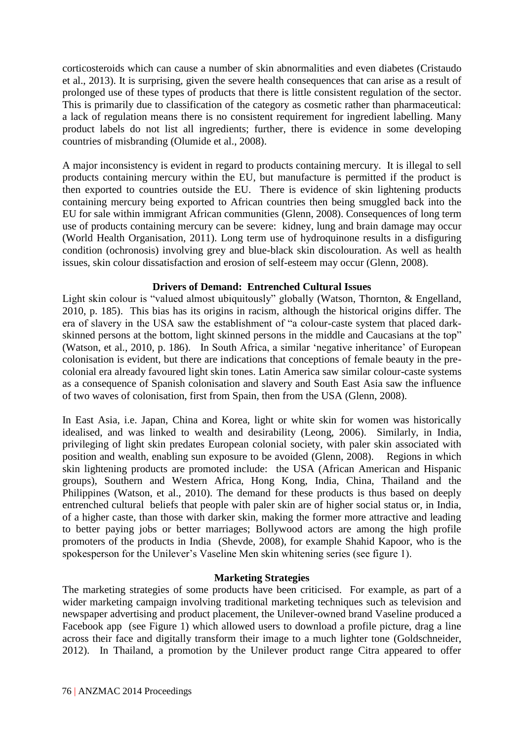corticosteroids which can cause a number of skin abnormalities and even diabetes (Cristaudo et al., 2013). It is surprising, given the severe health consequences that can arise as a result of prolonged use of these types of products that there is little consistent regulation of the sector. This is primarily due to classification of the category as cosmetic rather than pharmaceutical: a lack of regulation means there is no consistent requirement for ingredient labelling. Many product labels do not list all ingredients; further, there is evidence in some developing countries of misbranding (Olumide et al., 2008).

A major inconsistency is evident in regard to products containing mercury. It is illegal to sell products containing mercury within the EU, but manufacture is permitted if the product is then exported to countries outside the EU. There is evidence of skin lightening products containing mercury being exported to African countries then being smuggled back into the EU for sale within immigrant African communities (Glenn, 2008). Consequences of long term use of products containing mercury can be severe: kidney, lung and brain damage may occur (World Health Organisation, 2011). Long term use of hydroquinone results in a disfiguring condition (ochronosis) involving grey and blue-black skin discolouration. As well as health issues, skin colour dissatisfaction and erosion of self-esteem may occur (Glenn, 2008).

# **Drivers of Demand: Entrenched Cultural Issues**

Light skin colour is "valued almost ubiquitously" globally (Watson, Thornton, & Engelland, 2010, p. 185). This bias has its origins in racism, although the historical origins differ. The era of slavery in the USA saw the establishment of "a colour-caste system that placed darkskinned persons at the bottom, light skinned persons in the middle and Caucasians at the top" (Watson, et al., 2010, p. 186). In South Africa, a similar 'negative inheritance' of European colonisation is evident, but there are indications that conceptions of female beauty in the precolonial era already favoured light skin tones. Latin America saw similar colour-caste systems as a consequence of Spanish colonisation and slavery and South East Asia saw the influence of two waves of colonisation, first from Spain, then from the USA (Glenn, 2008).

In East Asia, i.e. Japan, China and Korea, light or white skin for women was historically idealised, and was linked to wealth and desirability (Leong, 2006). Similarly, in India, privileging of light skin predates European colonial society, with paler skin associated with position and wealth, enabling sun exposure to be avoided (Glenn, 2008). Regions in which skin lightening products are promoted include: the USA (African American and Hispanic groups), Southern and Western Africa, Hong Kong, India, China, Thailand and the Philippines (Watson, et al., 2010). The demand for these products is thus based on deeply entrenched cultural beliefs that people with paler skin are of higher social status or, in India, of a higher caste, than those with darker skin, making the former more attractive and leading to better paying jobs or better marriages; Bollywood actors are among the high profile promoters of the products in India (Shevde, 2008), for example Shahid Kapoor, who is the spokesperson for the Unilever's Vaseline Men skin whitening series (see figure 1).

## **Marketing Strategies**

The marketing strategies of some products have been criticised. For example, as part of a wider marketing campaign involving traditional marketing techniques such as television and newspaper advertising and product placement, the Unilever-owned brand Vaseline produced a Facebook app (see Figure 1) which allowed users to download a profile picture, drag a line across their face and digitally transform their image to a much lighter tone (Goldschneider, 2012). In Thailand, a promotion by the Unilever product range Citra appeared to offer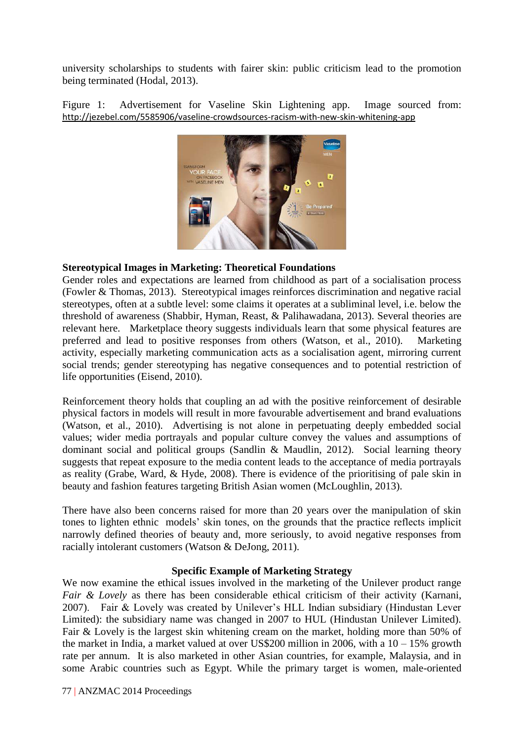university scholarships to students with fairer skin: public criticism lead to the promotion being terminated (Hodal, 2013).

Figure 1: Advertisement for Vaseline Skin Lightening app. Image sourced from: <http://jezebel.com/5585906/vaseline-crowdsources-racism-with-new-skin-whitening-app>



# **Stereotypical Images in Marketing: Theoretical Foundations**

Gender roles and expectations are learned from childhood as part of a socialisation process (Fowler & Thomas, 2013). Stereotypical images reinforces discrimination and negative racial stereotypes, often at a subtle level: some claims it operates at a subliminal level, i.e. below the threshold of awareness (Shabbir, Hyman, Reast, & Palihawadana, 2013). Several theories are relevant here. Marketplace theory suggests individuals learn that some physical features are preferred and lead to positive responses from others (Watson, et al., 2010). Marketing activity, especially marketing communication acts as a socialisation agent, mirroring current social trends; gender stereotyping has negative consequences and to potential restriction of life opportunities (Eisend, 2010).

Reinforcement theory holds that coupling an ad with the positive reinforcement of desirable physical factors in models will result in more favourable advertisement and brand evaluations (Watson, et al., 2010). Advertising is not alone in perpetuating deeply embedded social values; wider media portrayals and popular culture convey the values and assumptions of dominant social and political groups (Sandlin & Maudlin, 2012). Social learning theory suggests that repeat exposure to the media content leads to the acceptance of media portrayals as reality (Grabe, Ward, & Hyde, 2008). There is evidence of the prioritising of pale skin in beauty and fashion features targeting British Asian women (McLoughlin, 2013).

There have also been concerns raised for more than 20 years over the manipulation of skin tones to lighten ethnic models' skin tones, on the grounds that the practice reflects implicit narrowly defined theories of beauty and, more seriously, to avoid negative responses from racially intolerant customers (Watson & DeJong, 2011).

## **Specific Example of Marketing Strategy**

We now examine the ethical issues involved in the marketing of the Unilever product range *Fair & Lovely* as there has been considerable ethical criticism of their activity (Karnani, 2007). Fair & Lovely was created by Unilever's HLL Indian subsidiary (Hindustan Lever Limited): the subsidiary name was changed in 2007 to HUL (Hindustan Unilever Limited). Fair & Lovely is the largest skin whitening cream on the market, holding more than 50% of the market in India, a market valued at over US\$200 million in 2006, with a  $10 - 15\%$  growth rate per annum. It is also marketed in other Asian countries, for example, Malaysia, and in some Arabic countries such as Egypt. While the primary target is women, male-oriented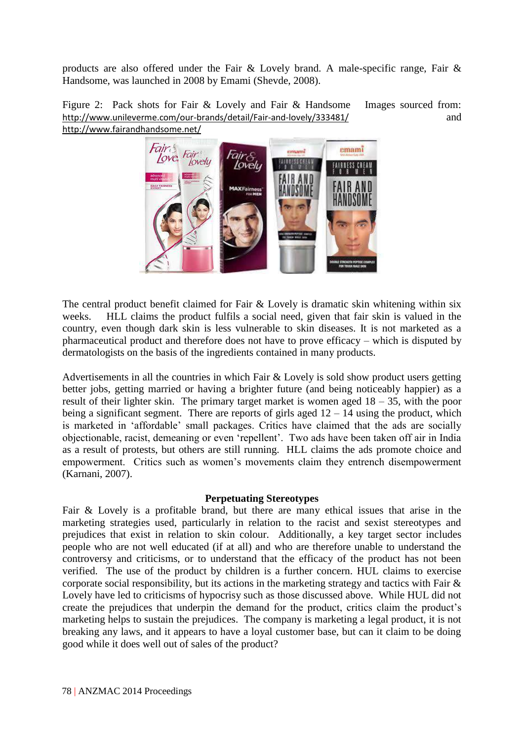products are also offered under the Fair & Lovely brand. A male-specific range, Fair & Handsome, was launched in 2008 by Emami (Shevde, 2008).

Figure 2: Pack shots for Fair & Lovely and Fair & Handsome Images sourced from: <http://www.unileverme.com/our-brands/detail/Fair-and-lovely/333481/> and <http://www.fairandhandsome.net/>



The central product benefit claimed for Fair & Lovely is dramatic skin whitening within six weeks. HLL claims the product fulfils a social need, given that fair skin is valued in the country, even though dark skin is less vulnerable to skin diseases. It is not marketed as a pharmaceutical product and therefore does not have to prove efficacy – which is disputed by dermatologists on the basis of the ingredients contained in many products.

Advertisements in all the countries in which Fair & Lovely is sold show product users getting better jobs, getting married or having a brighter future (and being noticeably happier) as a result of their lighter skin. The primary target market is women aged 18 – 35, with the poor being a significant segment. There are reports of girls aged  $12 - 14$  using the product, which is marketed in 'affordable' small packages. Critics have claimed that the ads are socially objectionable, racist, demeaning or even 'repellent'. Two ads have been taken off air in India as a result of protests, but others are still running. HLL claims the ads promote choice and empowerment. Critics such as women's movements claim they entrench disempowerment (Karnani, 2007).

## **Perpetuating Stereotypes**

Fair & Lovely is a profitable brand, but there are many ethical issues that arise in the marketing strategies used, particularly in relation to the racist and sexist stereotypes and prejudices that exist in relation to skin colour. Additionally, a key target sector includes people who are not well educated (if at all) and who are therefore unable to understand the controversy and criticisms, or to understand that the efficacy of the product has not been verified. The use of the product by children is a further concern. HUL claims to exercise corporate social responsibility, but its actions in the marketing strategy and tactics with Fair & Lovely have led to criticisms of hypocrisy such as those discussed above. While HUL did not create the prejudices that underpin the demand for the product, critics claim the product's marketing helps to sustain the prejudices. The company is marketing a legal product, it is not breaking any laws, and it appears to have a loyal customer base, but can it claim to be doing good while it does well out of sales of the product?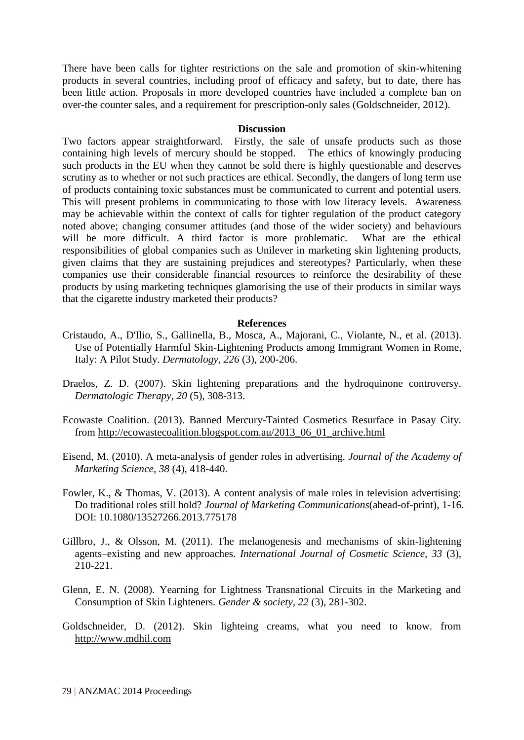There have been calls for tighter restrictions on the sale and promotion of skin-whitening products in several countries, including proof of efficacy and safety, but to date, there has been little action. Proposals in more developed countries have included a complete ban on over-the counter sales, and a requirement for prescription-only sales (Goldschneider, 2012).

#### **Discussion**

Two factors appear straightforward. Firstly, the sale of unsafe products such as those containing high levels of mercury should be stopped. The ethics of knowingly producing such products in the EU when they cannot be sold there is highly questionable and deserves scrutiny as to whether or not such practices are ethical. Secondly, the dangers of long term use of products containing toxic substances must be communicated to current and potential users. This will present problems in communicating to those with low literacy levels. Awareness may be achievable within the context of calls for tighter regulation of the product category noted above; changing consumer attitudes (and those of the wider society) and behaviours will be more difficult. A third factor is more problematic. What are the ethical responsibilities of global companies such as Unilever in marketing skin lightening products, given claims that they are sustaining prejudices and stereotypes? Particularly, when these companies use their considerable financial resources to reinforce the desirability of these products by using marketing techniques glamorising the use of their products in similar ways that the cigarette industry marketed their products?

#### **References**

- Cristaudo, A., D'Ilio, S., Gallinella, B., Mosca, A., Majorani, C., Violante, N., et al. (2013). Use of Potentially Harmful Skin-Lightening Products among Immigrant Women in Rome, Italy: A Pilot Study. *Dermatology, 226* (3), 200-206.
- Draelos, Z. D. (2007). Skin lightening preparations and the hydroquinone controversy. *Dermatologic Therapy, 20* (5), 308-313.
- Ecowaste Coalition. (2013). Banned Mercury-Tainted Cosmetics Resurface in Pasay City. from [http://ecowastecoalition.blogspot.com.au/2013\\_06\\_01\\_archive.html](http://ecowastecoalition.blogspot.com.au/2013_06_01_archive.html)
- Eisend, M. (2010). A meta-analysis of gender roles in advertising. *Journal of the Academy of Marketing Science, 38* (4), 418-440.
- Fowler, K., & Thomas, V. (2013). A content analysis of male roles in television advertising: Do traditional roles still hold? *Journal of Marketing Communications*(ahead-of-print), 1-16. DOI: 10.1080/13527266.2013.775178
- Gillbro, J., & Olsson, M. (2011). The melanogenesis and mechanisms of skin-lightening agents–existing and new approaches. *International Journal of Cosmetic Science, 33* (3), 210-221.
- Glenn, E. N. (2008). Yearning for Lightness Transnational Circuits in the Marketing and Consumption of Skin Lighteners. *Gender & society, 22* (3), 281-302.
- Goldschneider, D. (2012). Skin lighteing creams, what you need to know. from [http://www.mdhil.com](http://www.mdhil.com/)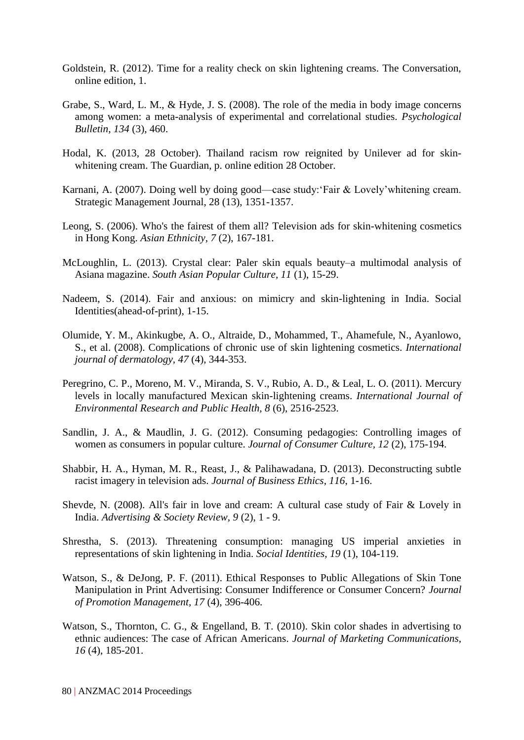- Goldstein, R. (2012). Time for a reality check on skin lightening creams. The Conversation, online edition, 1.
- Grabe, S., Ward, L. M., & Hyde, J. S. (2008). The role of the media in body image concerns among women: a meta-analysis of experimental and correlational studies. *Psychological Bulletin, 134* (3), 460.
- Hodal, K. (2013, 28 October). Thailand racism row reignited by Unilever ad for skinwhitening cream. The Guardian, p. online edition 28 October.
- Karnani, A. (2007). Doing well by doing good—case study:'Fair & Lovely'whitening cream. Strategic Management Journal, 28 (13), 1351-1357.
- Leong, S. (2006). Who's the fairest of them all? Television ads for skin-whitening cosmetics in Hong Kong. *Asian Ethnicity, 7* (2), 167-181.
- McLoughlin, L. (2013). Crystal clear: Paler skin equals beauty–a multimodal analysis of Asiana magazine. *South Asian Popular Culture, 11* (1), 15-29.
- Nadeem, S. (2014). Fair and anxious: on mimicry and skin-lightening in India. Social Identities(ahead-of-print), 1-15.
- Olumide, Y. M., Akinkugbe, A. O., Altraide, D., Mohammed, T., Ahamefule, N., Ayanlowo, S., et al. (2008). Complications of chronic use of skin lightening cosmetics. *International journal of dermatology, 47* (4), 344-353.
- Peregrino, C. P., Moreno, M. V., Miranda, S. V., Rubio, A. D., & Leal, L. O. (2011). Mercury levels in locally manufactured Mexican skin-lightening creams. *International Journal of Environmental Research and Public Health, 8* (6), 2516-2523.
- Sandlin, J. A., & Maudlin, J. G. (2012). Consuming pedagogies: Controlling images of women as consumers in popular culture. *Journal of Consumer Culture, 12* (2), 175-194.
- Shabbir, H. A., Hyman, M. R., Reast, J., & Palihawadana, D. (2013). Deconstructing subtle racist imagery in television ads. *Journal of Business Ethics, 116*, 1-16.
- Shevde, N. (2008). All's fair in love and cream: A cultural case study of Fair & Lovely in India. *Advertising & Society Review, 9* (2), 1 - 9.
- Shrestha, S. (2013). Threatening consumption: managing US imperial anxieties in representations of skin lightening in India. *Social Identities, 19* (1), 104-119.
- Watson, S., & DeJong, P. F. (2011). Ethical Responses to Public Allegations of Skin Tone Manipulation in Print Advertising: Consumer Indifference or Consumer Concern? *Journal of Promotion Management, 17* (4), 396-406.
- Watson, S., Thornton, C. G., & Engelland, B. T. (2010). Skin color shades in advertising to ethnic audiences: The case of African Americans. *Journal of Marketing Communications, 16* (4), 185-201.